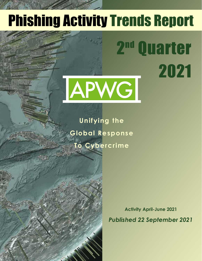# Phishing Activity Trends Report

2

**Quarter** 

2021

# APWG

**Unifying the Global Response To Cybercrime**

Table of Contents of Contents of Contents of Contents of Contents of Contents of Contents of Contents of Contents of Contents of Contents of Contents of Contents of Contents of Contents of Contents of Contents of Contents

**Statistical Highlights for 2nd Quarter 2017 32 and 2nd Quarter 2017 32 and 2017 32 Phishing E-mail Phishing Site Trends 44 (Phishing Site Trends 44) Brand-Domain Pairs Measurement Pairs Measurement Pairs Measurement Pairs Measurement Pairs Measurement Pairs Measurement Pairs Measurement Pairs Measurement Pairs Measurement Pairs Measurement Pairs Measurement Pairs Meas** 

**E-mail Phishing Attacks 6** Use of Domain Names for Phishing *1999* **Phishing and Identity Theft in Brazil 10-11 Most Targeted Industry Sectors 12 APWG Phishing Trends Report Contributors 13**

**Brands & Legitimate Entities Hijacked by** 

**Activity April-June 2021** *Published 22 September 2021*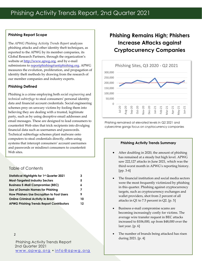#### **Phishing Report Scope**

The *APWG Phishing Activity Trends Report* analyzes phishing attacks and other identity theft techniques, as reported to the APWG by its member companies, its Global Research Partners, through the organization's website at [http://www.apwg.org,](http://www.apwg.org/) and by e-mail submissions to **reportphishing@antiphishing.org**. APWG measures the evolution, proliferation, and propagation of identity theft methods by drawing from the research of our member companies and industry experts.

#### **Phishing Defined**

Phishing is a crime employing both *social engineering* and *technical subterfuge* to steal consumers' personal identity data and financial account credentials. Social engineering schemes prey on unwary victims by fooling them into believing they are dealing with a trusted, legitimate party, such as by using deceptive email addresses and email messages. These are designed to lead consumers to counterfeit Web sites that trick recipients into divulging financial data such as usernames and passwords. Technical subterfuge schemes plant malware onto computers to steal credentials directly, often using systems that intercept consumers' account usernames and passwords or misdirect consumers to counterfeit Web sites.

#### Table of Contents

| <b>Statistical Highlights for 1st Quarter 2021</b> | З  |
|----------------------------------------------------|----|
| <b>Most-Targeted Industry Sectors</b>              | 5  |
| <b>Business E-Mail Compromise (BEC)</b>            | 6  |
| Use of Domain Names for Phishing                   | 7  |
| How Phishers Use Encryption to Fool Users          | 9  |
| <b>Online Criminal Activity in Brazil</b>          | 10 |
| <b>APWG Phishing Trends Report Contributors</b>    | 12 |
|                                                    |    |

2

Phishing Activity Trends Report 2nd Quarter 2021 www.apwg.org · info@apwg.org

## **Phishing Remains High; Phishers Increase Attacks against Cryptocurrency Companies**



Phishing remained at elevated levels in Q2 2021 and cybercrime gangs focus on cryptocurrency companies

#### **Phishing Activity Trends Summary**

- After doubling in 2020, the amount of phishing has remained at a steady but high level. APWG saw 222,127 attacks in June 2021, which was the third-worst month in APWG's reporting history. [pp. 3-4]
- The financial institution and social media sectors were the most frequently victimized by phishing in this quarter. Phishing against cryptocurrency targets, such as cryptocurrency exchanges and wallet providers, shot from 2 percent of all attacks in Q1 to 7.5 percent in Q2. [p. 5]
- Business e-mail compromise scams are becoming increasingly costly for victims. The average wire transfer request in BEC attacks increased to \$106,000, up from \$48,000 over the last year. [p. 6]
- The number of brands being attacked has risen during 2021. [p. 4]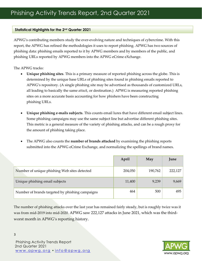#### **Statistical Highlights for the 2nd Quarter 2021**

APWG's contributing members study the ever-evolving nature and techniques of cybercrime. With this report, the APWG has refined the methodologies it uses to report phishing. APWG has two sources of phishing data: phishing emails reported to it by APWG members and by members of the public, and phishing URLs reported by APWG members into the APWG eCrime eXchange.

The APWG tracks:

- **Unique phishing sites**. This is a primary measure of reported phishing across the globe. This is determined by the unique base URLs of phishing sites found in phishing emails reported to APWG's repository. (A single phishing site may be advertised as thousands of customized URLs, all leading to basically the same *attack*, or destination.) APWG is measuring reported phishing sites on a more accurate basis accounting for how phishers have been constructing phishing URLs.
- **Unique phishing e-mails subjects**. This counts email lures that have different email subject lines. Some phishing campaigns may use the same subject line but advertise different phishing sites. This metric is a general measure of the variety of phishing attacks, and can be a rough proxy for the amount of phishing taking place.
- The APWG also counts the **number of brands attacked** by examining the phishing reports submitted into the APWG eCrime Exchange, and normalizing the spellings of brand names.

|                                                 | April   | May     | June    |
|-------------------------------------------------|---------|---------|---------|
| Number of unique phishing Web sites detected    | 204,050 | 190,762 | 222,127 |
| Unique phishing email subjects                  | 11,400  | 9,239   | 9,669   |
| Number of brands targeted by phishing campaigns | 464     | 500     | 495     |

The number of phishing attacks over the last year has remained fairly steady, but is roughly twice was it was from mid-2019 into mid-2020. APWG saw 222,127 attacks in June 2021, which was the thirdworst month in APWG's reporting history.

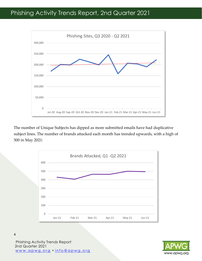

The number of Unique Subjects has dipped as more submitted emails have had duplicative subject lines. The number of brands attacked each month has trended upwards, with a high of 500 in May 2021:





Phishing Activity Trends Report 2nd Quarter 2021 www.apwg.org · info@apwg.org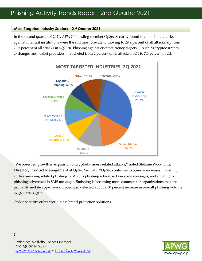#### **Most-Targeted Industry Sectors – 2nd Quarter 2021**

In the second quarter of 2021, APWG founding member OpSec Security found that phishing attacks against financial institutions were the still most prevalent, moving to 29.2 percent of all attacks, up from 22.5 percent of all attacks in 4Q2020. Phishing against cryptocurrency targets — such as cryptocurrency exchanges and wallet providers — rocketed from 2 percent of all attacks in Q1 to 7.5 percent in Q2.



"We observed growth in expansion of crypto-business related attacks," noted Stefanie Wood Ellis, Director, Product Management at OpSec Security. "OpSec continues to observe increases in vishing and/or smishing related phishing. *Vishing* is phishing advertised via voice messages, and *smishing* is phishing advertised in SMS messages. Smishing is becoming more common for organizations that are primarily mobile app-driven. OpSec also detected about a 30 percent increase in overall phishing volume in Q2 versus Q1."

OpSec Security offers world-class brand protection solutions.



Phishing Activity Trends Report 2nd Quarter 2021 www.apwg.org · info@apwg.org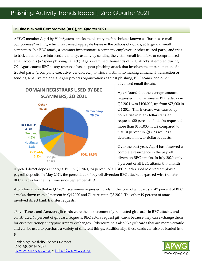#### **Business e-Mail Compromise (BEC), 2nd Quarter 2021**

APWG member Agari by HelpSystems tracks the identity theft technique known as "business e-mail compromise" or BEC, which has caused aggregate losses in the billions of dollars, at large and small companies. In a BEC attack, a scammer impersonates a company employee or other trusted party, and tries to trick an employee into sending money, usually by sending the victim email from fake or compromised email accounts (a "spear phishing" attack). Agari examined thousands of BEC attacks attempted during Q2. Agari counts BEC as any response-based spear phishing attack that involves the impersonation of a trusted party (a company executive, vendor, etc.) to trick a victim into making a financial transaction or sending sensitive materials. Agari protects organizations against phishing, BEC scams, and other



advanced email threats.

Agari found that the average amount requested in wire transfer BEC attacks in Q2 2021 was \$106,000, up from \$75,000 in Q4 2020. This increase was caused by both a rise in high-dollar transfer requests (20 percent of attacks requested more than \$100,000 in Q2 compared to just 10 percent in Q1), as well as a decrease in lower-dollar requests.

Over the past year, Agari has observed a complete resurgence in the payroll diversion BEC attacks. In July 2020, only 3 percent of all BEC attacks that month

targeted direct deposit charges. But in Q2 2021, 24 percent of all BEC attacks tried to divert employee payroll deposits. In May 2021, the percentage of payroll diversion BEC attacks surpassed wire transfer BEC attacks for the first time since September 2019.

Agari found also that in Q2 2021, scammers requested funds in the form of gift cards in 47 percent of BEC attacks, down from 60 percent in Q4 2020 and 71 percent in Q3 2020. The other 19 percent of attacks involved direct bank transfer requests.

eBay, iTunes, and Amazon gift cards were the most commonly requested gift cards in BEC attacks, and constituted 60 percent of gift card requests. BEC actors request gift cards because they can exchange them for cryptocurrency at cryptocurrency exchanges. Cybercriminals also like gift cards that are more versatile and can be used to purchase a variety of different things. Additionally, these cards can also be loaded into

Phishing Activity Trends Report 2nd Quarter 2021 [w w w . a p w g . o r g](http://www.apwg.org/) • [i n f o @ a p w g . o r g](mailto:info@apwg.org)

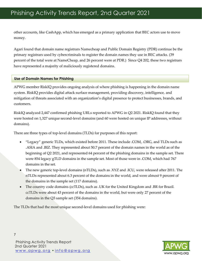other accounts, like CashApp, which has emerged as a primary application that BEC actors use to move money.

Agari found that domain name registrars Namecheap and Public Domain Registry (PDR) continue be the primary registrars used by cybercriminals to register the domain names they use in BEC attacks. (39 percent of the total were at NameCheap, and 26 percent were at PDR.) Since Q4 202, these two registrars have represented a majority of maliciously registered domains.

#### **Use of Domain Names for Phishing**

APWG member RiskIQ provides ongoing analysis of where phishing is happening in the domain name system. RiskIQ provides digital attack surface management, providing discovery, intelligence, and mitigation of threats associated with an organization's digital presence to protect businesses, brands, and customers.

RiskIQ analyzed 2,447 confirmed phishing URLs reported to APWG in Q2 2021. RiskIQ found that they were hosted on 1,327 unique second-level domains (and 60 were hosted on unique IP addresses, without domains).

There are three types of top-level domains (TLDs) for purposes of this report:

- "Legacy" generic TLDs, which existed before 2011. These include .COM, .ORG, and TLDs such as .ASIA and .BIZ. They represented about 50.7 percent of the domain names in the world as of the beginning of Q2 2021, and represented 64 percent of the phishing domains in the sample set. There were 854 legacy gTLD domains in the sample set. Most of those were in .COM, which had 767 domains in the set.
- The new generic top-level domains (nTLDs), such as .XYZ and .ICU, were released after 2011. The nTLDs represented about 6.3 percent of the domains in the world, and were almost 9 percent of the domains in the sample set (117 domains).
- The country code domains (ccTLDs), such as .UK for the United Kingdom and .BR for Brazil. ccTLDs were about 43 percent of the domains in the world, but were only 27 percent of the domains in the Q3 sample set (354 domains).

The TLDs that had the most unique second-level domains used for phishing were:

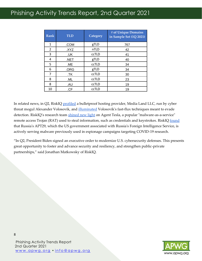# Phishing Activity Trends Report, 2nd Quarter 2021

| <b>Rank</b> | <b>TLD</b> | Category     | # of Unique Domains<br>in Sample Set (1Q 2021) |
|-------------|------------|--------------|------------------------------------------------|
| 1           | .COM       | gTLD         | 767                                            |
| 2           | .XYZ       | nTLD         | 42                                             |
| 3           | .UK        | ccTLD        | 41                                             |
| 4           | .NET       | gTLD         | 40                                             |
| 5           | .ME        | ccTLD        | 34                                             |
| 6           | .ORG       | gTLD         | 34                                             |
| 7           | .TK        | ccTLD        | 30                                             |
| 8           | .ML        | <b>CCTLD</b> | 23                                             |
| 8           | .AU        | ccTLD        | 19                                             |
| 10          | .CF        | ccTLD        | 19                                             |

In related news, in Q2, RiskI[Q profiled](https://community.riskiq.com/article/49db7be3/) a bulletproof hosting provider, Media Land LLC, run by cyber threat mogul Alexander Volosovik, and [illuminated](https://www.riskiq.com/blog/external-threat-management/malicious-infrastructure-mogul/) Volosovik's fast-flux techniques meant to evade detection. RiskIQ's research team [shined new light](https://community.riskiq.com/article/40000d46) on Agent Tesla, a popular "malware-as-a-service" remote access Trojan (RAT) used to steal information, such as credentials and keystrokes. RiskI[Q found](https://www.riskiq.com/blog/external-threat-management/apt29-bear-tracks/) that Russia's APT29, which the US government associated with Russia's Foreign Intelligence Service, is actively serving malware previously used in espionage campaigns targeting COVID-19 research.

"In Q2, President Biden signed an executive order to modernize U.S. cybersecurity defenses. This presents great opportunity to foster and advance security and resiliency, and strengthen public-private partnerships," said Jonathan Matkowsky of RiskIQ.



Phishing Activity Trends Report 2nd Quarter 2021 [w w w . a p w g . o r g](http://www.apwg.org/) • [i n f o @ a p w g . o r g](mailto:info@apwg.org)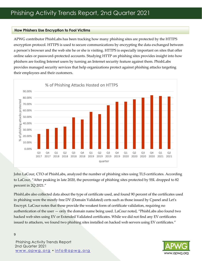#### **How Phishers Use Encryption to Fool Victims**

APWG contributor PhishLabs has been tracking how many phishing sites are protected by the HTTPS encryption protocol. HTTPS is used to secure communications by encrypting the data exchanged between a person's browser and the web site he or she is visiting. HTTPS is especially important on sites that offer online sales or password-protected accounts. Studying HTTP on phishing sites provides insight into how phishers are fooling Internet users by turning an Internet security feature against them. PhishLabs provides managed security services that help organizations protect against phishing attacks targeting their employees and their customers.



John LaCour, CTO of PhishLabs, analyzed the number of phishing sites using TLS certificates. According to LaCour, "After peaking in late 2020, the percentage of phishing sites protected by SSL dropped to 82 percent in 2Q 2021."

PhishLabs also collected data about the type of certificate used, and found 90 percent of the certificates used in phishing were the mostly free DV (Domain Validated) certs such as those issued by Cpanel and Let's Encrypt. LaCour notes that these provide the weakest form of certificate validation, requiring no authentication of the user — only the domain name being used. LaCour noted, "PhishLabs also found two hacked web sites using EV or Extended Validated certificates. While we did not find any EV certificates issued to attackers, we found two phishing sites installed on hacked web servers using EV certificates."

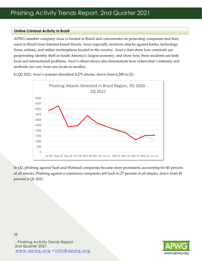#### **Online Criminal Activity in Brazil**

APWG member company Axur is located in Brazil and concentrates on protecting companies and their users in Brazil from Internet-based threats. Axur especially monitors attacks against banks, technology firms, airlines, and online marketplaces located in the country. Axur's data show how criminals are perpetrating identity theft in South America's largest economy, and show how these incidents are both local and international problems. Axur's observations also demonstrate how cybercrime's intensity and methods can vary from one locale to another.



In Q2 2021, Axur's systems identified 4,275 attacks, down from 6,209 in Q1:

In Q2, phishing against SaaS and Webmail companies became more prominent, accounting for 40 percent of all attacks. Phishing against e-commerce companies fell back to 27 percent of all attacks, down from 45 percent is Q1 2021:



Phishing Activity Trends Report 2nd Quarter 2021 [w w w . a p w g . o r g](http://www.apwg.org/) • [i n f o @ a p w g . o r g](mailto:info@apwg.org)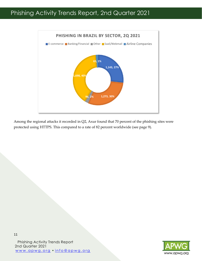

Among the regional attacks it recorded in Q2, Axur found that 70 percent of the phishing sites were protected using HTTPS. This compared to a rate of 82 percent worldwide (see page 9).